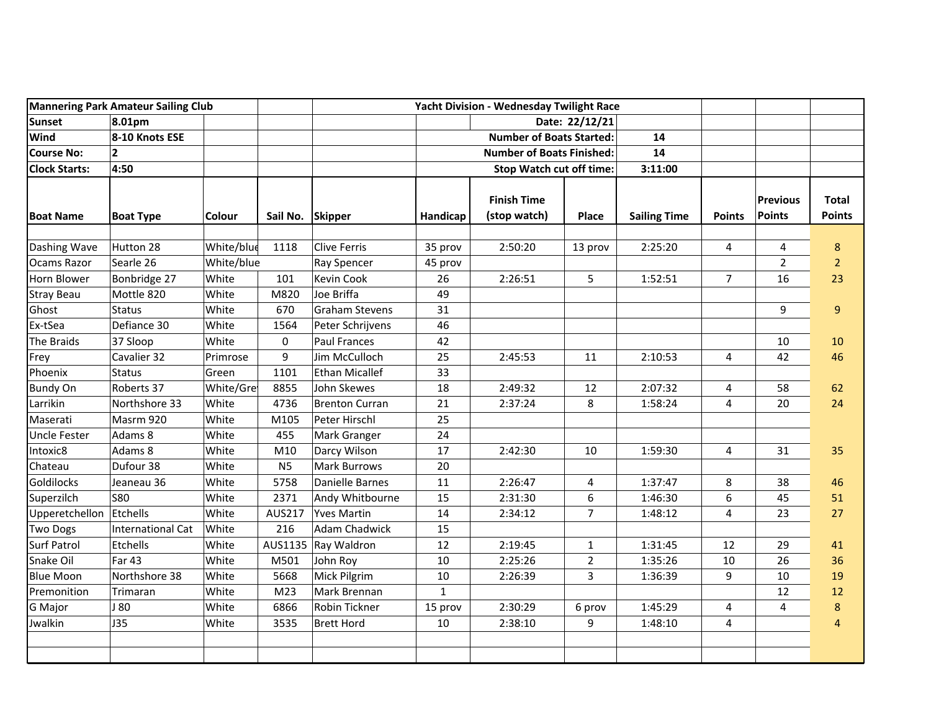|                         | <b>Mannering Park Amateur Sailing Club</b> |            |                 |                       |                                                         | Yacht Division - Wednesday Twilight Race |                |                     |                |                                  |                               |
|-------------------------|--------------------------------------------|------------|-----------------|-----------------------|---------------------------------------------------------|------------------------------------------|----------------|---------------------|----------------|----------------------------------|-------------------------------|
| Sunset                  | 8.01pm                                     |            |                 |                       | Date: 22/12/21<br><b>Number of Boats Started:</b><br>14 |                                          |                |                     |                |                                  |                               |
| Wind                    | 8-10 Knots ESE                             |            |                 |                       |                                                         |                                          |                |                     |                |                                  |                               |
| <b>Course No:</b>       | $\mathbf{2}$                               |            |                 |                       |                                                         |                                          |                |                     |                |                                  |                               |
| <b>Clock Starts:</b>    | 4:50                                       |            |                 |                       | <b>Stop Watch cut off time:</b><br>3:11:00              |                                          |                |                     |                |                                  |                               |
| <b>Boat Name</b>        | <b>Boat Type</b>                           | Colour     | Sail No.        | <b>Skipper</b>        | Handicap                                                | <b>Finish Time</b><br>(stop watch)       | Place          | <b>Sailing Time</b> | <b>Points</b>  | <b>Previous</b><br><b>Points</b> | <b>Total</b><br><b>Points</b> |
| Dashing Wave            | Hutton 28                                  | White/blue | 1118            | Clive Ferris          | 35 prov                                                 | 2:50:20                                  | 13 prov        | 2:25:20             | 4              | 4                                | $\bf 8$                       |
| <b>Ocams Razor</b>      | Searle 26                                  | White/blue |                 | Ray Spencer           | 45 prov                                                 |                                          |                |                     |                | $\overline{2}$                   | $\overline{2}$                |
| Horn Blower             | Bonbridge 27                               | White      | 101             | Kevin Cook            | 26                                                      | 2:26:51                                  | 5              | 1:52:51             | 7              | 16                               | 23                            |
| <b>Stray Beau</b>       | Mottle 820                                 | White      | M820            | Joe Briffa            | 49                                                      |                                          |                |                     |                |                                  |                               |
| Ghost                   | <b>Status</b>                              | White      | 670             | <b>Graham Stevens</b> | 31                                                      |                                          |                |                     |                | 9                                | $\boldsymbol{9}$              |
| Ex-tSea                 | Defiance 30                                | White      | 1564            | Peter Schrijvens      | 46                                                      |                                          |                |                     |                |                                  |                               |
| The Braids              | 37 Sloop                                   | White      | $\pmb{0}$       | <b>Paul Frances</b>   | 42                                                      |                                          |                |                     |                | 10                               | 10                            |
| Frey                    | Cavalier 32                                | Primrose   | 9               | Jim McCulloch         | 25                                                      | 2:45:53                                  | 11             | 2:10:53             | 4              | 42                               | 46                            |
| Phoenix                 | <b>Status</b>                              | Green      | 1101            | Ethan Micallef        | 33                                                      |                                          |                |                     |                |                                  |                               |
| <b>Bundy On</b>         | Roberts 37                                 | White/Gre  | 8855            | John Skewes           | 18                                                      | 2:49:32                                  | 12             | 2:07:32             | $\overline{4}$ | 58                               | 62                            |
| Larrikin                | Northshore 33                              | White      | 4736            | <b>Brenton Curran</b> | 21                                                      | 2:37:24                                  | 8              | 1:58:24             | 4              | 20                               | 24                            |
| Maserati                | Masrm 920                                  | White      | M105            | Peter Hirschl         | 25                                                      |                                          |                |                     |                |                                  |                               |
| <b>Uncle Fester</b>     | Adams 8                                    | White      | 455             | Mark Granger          | 24                                                      |                                          |                |                     |                |                                  |                               |
| Intoxic8                | Adams 8                                    | White      | M10             | Darcy Wilson          | 17                                                      | 2:42:30                                  | 10             | 1:59:30             | 4              | 31                               | 35                            |
| Chateau                 | Dufour 38                                  | White      | N <sub>5</sub>  | <b>Mark Burrows</b>   | 20                                                      |                                          |                |                     |                |                                  |                               |
| Goldilocks              | Jeaneau 36                                 | White      | 5758            | Danielle Barnes       | 11                                                      | 2:26:47                                  | 4              | 1:37:47             | 8              | 38                               | 46                            |
| Superzilch              | <b>S80</b>                                 | White      | 2371            | Andy Whitbourne       | 15                                                      | 2:31:30                                  | 6              | 1:46:30             | 6              | 45                               | 51                            |
| Upperetchellon Etchells |                                            | White      | AUS217          | <b>Yves Martin</b>    | 14                                                      | 2:34:12                                  | $\overline{7}$ | 1:48:12             | 4              | 23                               | 27                            |
| <b>Two Dogs</b>         | International Cat                          | White      | 216             | <b>Adam Chadwick</b>  | 15                                                      |                                          |                |                     |                |                                  |                               |
| <b>Surf Patrol</b>      | Etchells                                   | White      | AUS1135         | Ray Waldron           | 12                                                      | 2:19:45                                  | $\mathbf{1}$   | 1:31:45             | 12             | 29                               | 41                            |
| Snake Oil               | Far 43                                     | White      | M501            | John Roy              | 10                                                      | 2:25:26                                  | $\overline{2}$ | 1:35:26             | 10             | 26                               | 36                            |
| <b>Blue Moon</b>        | Northshore 38                              | White      | 5668            | Mick Pilgrim          | 10                                                      | 2:26:39                                  | 3              | 1:36:39             | 9              | 10                               | 19                            |
| Premonition             | Trimaran                                   | White      | M <sub>23</sub> | Mark Brennan          | $\mathbf{1}$                                            |                                          |                |                     |                | 12                               | 12                            |
| G Major                 | J 80                                       | White      | 6866            | Robin Tickner         | 15 prov                                                 | 2:30:29                                  | 6 prov         | 1:45:29             | 4              | 4                                | $\bf 8$                       |
| Jwalkin                 | <b>J35</b>                                 | White      | 3535            | <b>Brett Hord</b>     | $10\,$                                                  | 2:38:10                                  | 9              | 1:48:10             | $\overline{4}$ |                                  | $\overline{4}$                |
|                         |                                            |            |                 |                       |                                                         |                                          |                |                     |                |                                  |                               |
|                         |                                            |            |                 |                       |                                                         |                                          |                |                     |                |                                  |                               |